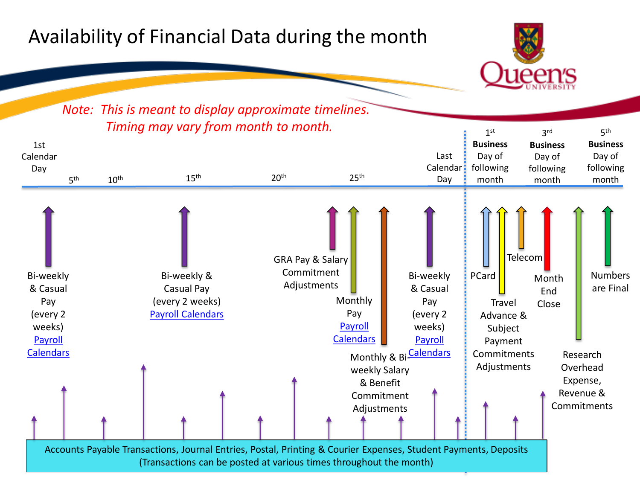## Availability of Financial Data during the month



## *Note: This is meant to display approximate timelines.*